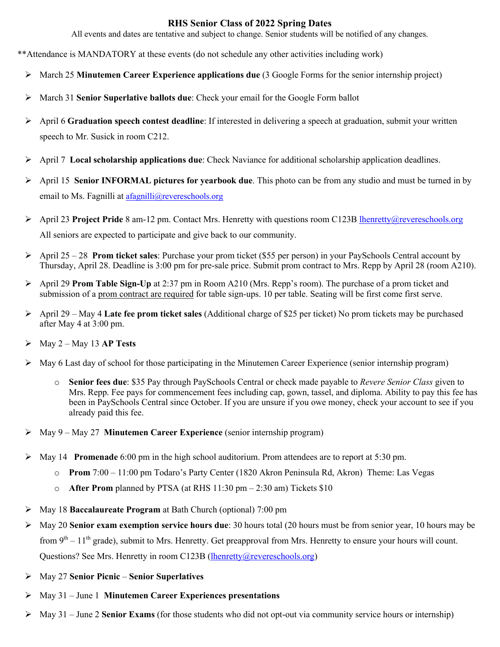## **RHS Senior Class of 2022 Spring Dates**

All events and dates are tentative and subject to change. Senior students will be notified of any changes.

- \*\*Attendance is MANDATORY at these events (do not schedule any other activities including work)
	- Ø March 25 **Minutemen Career Experience applications due** (3 Google Forms for the senior internship project)
	- Ø March 31 **Senior Superlative ballots due**: Check your email for the Google Form ballot
	- Ø April 6 **Graduation speech contest deadline**: If interested in delivering a speech at graduation, submit your written speech to Mr. Susick in room C212.
	- Ø April 7 **Local scholarship applications due**: Check Naviance for additional scholarship application deadlines.
	- Ø April 15 **Senior INFORMAL pictures for yearbook due**. This photo can be from any studio and must be turned in by email to Ms. Fagnilli at afagnilli@revereschools.org
	- Ø April 23 **Project Pride** 8 am-12 pm. Contact Mrs. Henretty with questions room C123B lhenretty@revereschools.org All seniors are expected to participate and give back to our community.
	- Ø April 25 28 **Prom ticket sales**: Purchase your prom ticket (\$55 per person) in your PaySchools Central account by Thursday, April 28. Deadline is 3:00 pm for pre-sale price. Submit prom contract to Mrs. Repp by April 28 (room A210).
	- Ø April 29 **Prom Table Sign-Up** at 2:37 pm in Room A210 (Mrs. Repp's room). The purchase of a prom ticket and submission of a prom contract are required for table sign-ups. 10 per table. Seating will be first come first serve.
	- Ø April 29 May 4 **Late fee prom ticket sales** (Additional charge of \$25 per ticket) No prom tickets may be purchased after May 4 at 3:00 pm.
	- $\triangleright$  May 2 May 13 **AP Tests**
	- $\triangleright$  May 6 Last day of school for those participating in the Minutemen Career Experience (senior internship program)
		- o **Senior fees due**: \$35 Pay through PaySchools Central or check made payable to *Revere Senior Class* given to Mrs. Repp. Fee pays for commencement fees including cap, gown, tassel, and diploma. Ability to pay this fee has been in PaySchools Central since October. If you are unsure if you owe money, check your account to see if you already paid this fee.
	- Ø May 9 May 27 **Minutemen Career Experience** (senior internship program)
	- Ø May 14 **Promenade** 6:00 pm in the high school auditorium. Prom attendees are to report at 5:30 pm.
		- o **Prom** 7:00 11:00 pm Todaro's Party Center (1820 Akron Peninsula Rd, Akron) Theme: Las Vegas
		- o **After Prom** planned by PTSA (at RHS 11:30 pm 2:30 am) Tickets \$10
	- Ø May 18 **Baccalaureate Program** at Bath Church (optional) 7:00 pm
	- Ø May 20 **Senior exam exemption service hours due**: 30 hours total (20 hours must be from senior year, 10 hours may be from  $9<sup>th</sup> - 11<sup>th</sup>$  grade), submit to Mrs. Henretty. Get preapproval from Mrs. Henretty to ensure your hours will count. Questions? See Mrs. Henretty in room C123B (lhenretty@revereschools.org)
	- Ø May 27 **Senior Picnic Senior Superlatives**
	- Ø May 31 June 1 **Minutemen Career Experiences presentations**
	- Ø May 31 June 2 **Senior Exams** (for those students who did not opt-out via community service hours or internship)